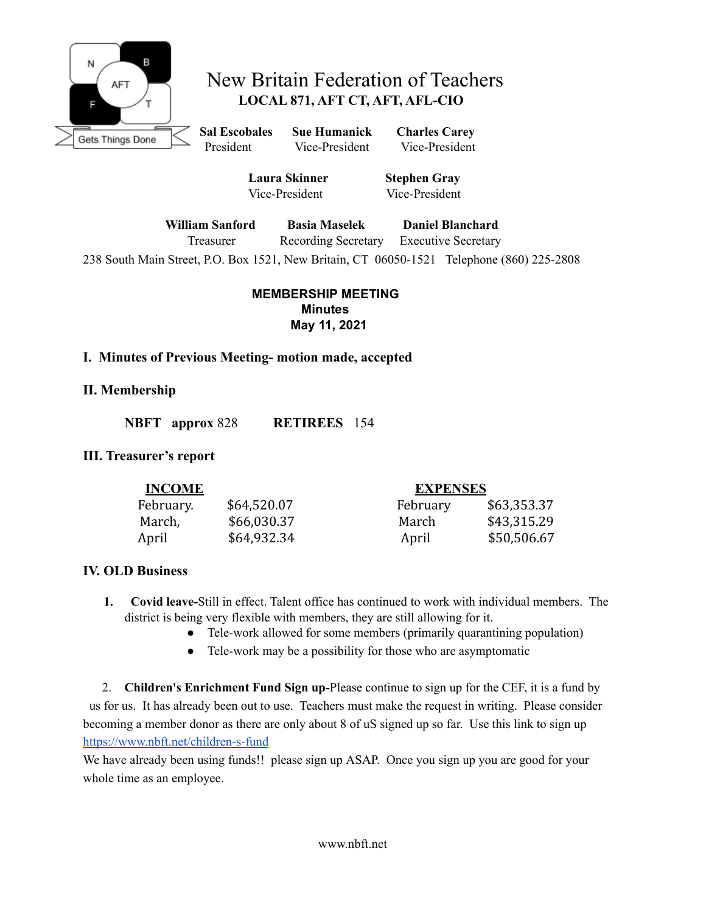

# New Britain Federation of Teachers **LOCAL 871, AFT CT, AFT, AFL-CIO**

**Sal Escobales Sue Humanick Charles Carey** President Vice-President Vice-President

**Laura Skinner Stephen Gray** Vice-President Vice-President

**William Sanford Basia Maselek Daniel Blanchard**

Treasurer Recording Secretary Executive Secretary

238 South Main Street, P.O. Box 1521, New Britain, CT 06050-1521 Telephone (860) 225-2808

**MEMBERSHIP MEETING Minutes May 11, 2021**

#### **I. Minutes of Previous Meeting- motion made, accepted**

#### **II. Membership**

**NBFT approx** 828 **RETIREES** 154

#### **III. Treasurer's report**

| <b>INCOME</b> |             | <b>EXPENSES</b> |             |
|---------------|-------------|-----------------|-------------|
| February.     | \$64,520.07 | February        | \$63,353.37 |
| March,        | \$66,030.37 | March           | \$43,315.29 |
| April         | \$64,932.34 | April           | \$50,506.67 |

#### **IV. OLD Business**

- **1. Covid leave-**Still in effect. Talent office has continued to work with individual members. The district is being very flexible with members, they are still allowing for it.
	- Tele-work allowed for some members (primarily quarantining population)
	- Tele-work may be a possibility for those who are asymptomatic

2. **Children's Enrichment Fund Sign up-**Please continue to sign up for the CEF, it is a fund by us for us. It has already been out to use. Teachers must make the request in writing. Please consider becoming a member donor as there are only about 8 of uS signed up so far. Use this link to sign up <https://www.nbft.net/children-s-fund>

We have already been using funds!! please sign up ASAP. Once you sign up you are good for your whole time as an employee.

www.nbft.net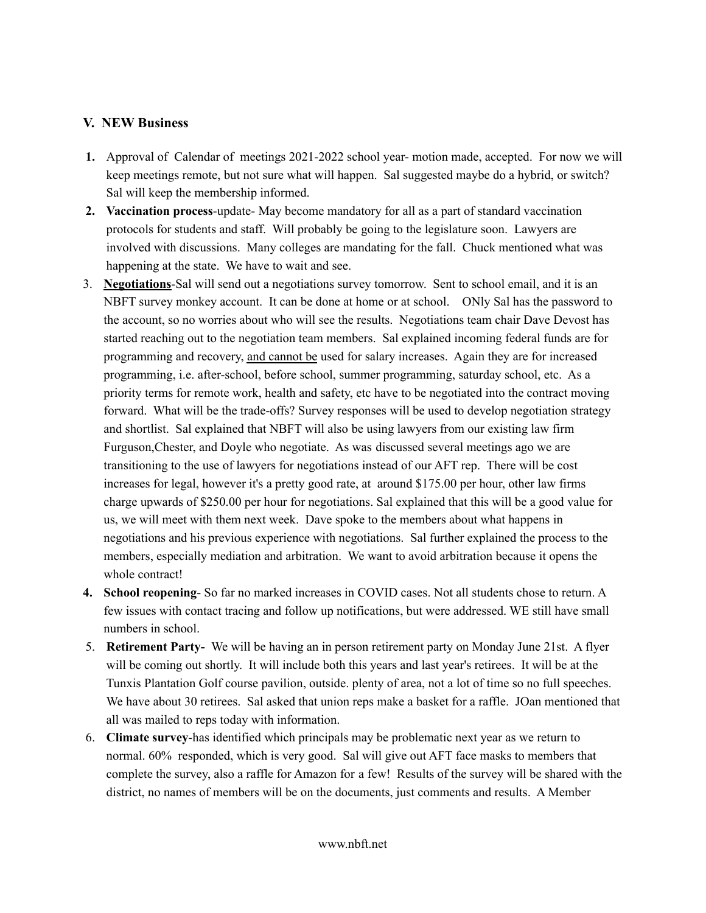#### **V. NEW Business**

- **1.** Approval of Calendar of meetings 2021-2022 school year- motion made, accepted. For now we will keep meetings remote, but not sure what will happen. Sal suggested maybe do a hybrid, or switch? Sal will keep the membership informed.
- **2. Vaccination process**-update- May become mandatory for all as a part of standard vaccination protocols for students and staff. Will probably be going to the legislature soon. Lawyers are involved with discussions. Many colleges are mandating for the fall. Chuck mentioned what was happening at the state. We have to wait and see.
- 3. **Negotiations**-Sal will send out a negotiations survey tomorrow. Sent to school email, and it is an NBFT survey monkey account. It can be done at home or at school. ONly Sal has the password to the account, so no worries about who will see the results. Negotiations team chair Dave Devost has started reaching out to the negotiation team members. Sal explained incoming federal funds are for programming and recovery, and cannot be used for salary increases. Again they are for increased programming, i.e. after-school, before school, summer programming, saturday school, etc. As a priority terms for remote work, health and safety, etc have to be negotiated into the contract moving forward. What will be the trade-offs? Survey responses will be used to develop negotiation strategy and shortlist. Sal explained that NBFT will also be using lawyers from our existing law firm Furguson,Chester, and Doyle who negotiate. As was discussed several meetings ago we are transitioning to the use of lawyers for negotiations instead of our AFT rep. There will be cost increases for legal, however it's a pretty good rate, at around \$175.00 per hour, other law firms charge upwards of \$250.00 per hour for negotiations. Sal explained that this will be a good value for us, we will meet with them next week. Dave spoke to the members about what happens in negotiations and his previous experience with negotiations. Sal further explained the process to the members, especially mediation and arbitration. We want to avoid arbitration because it opens the whole contract!
- **4. School reopening** So far no marked increases in COVID cases. Not all students chose to return. A few issues with contact tracing and follow up notifications, but were addressed. WE still have small numbers in school.
- 5. **Retirement Party-** We will be having an in person retirement party on Monday June 21st. A flyer will be coming out shortly. It will include both this years and last year's retirees. It will be at the Tunxis Plantation Golf course pavilion, outside. plenty of area, not a lot of time so no full speeches. We have about 30 retirees. Sal asked that union reps make a basket for a raffle. JOan mentioned that all was mailed to reps today with information.
- 6. **Climate survey**-has identified which principals may be problematic next year as we return to normal. 60% responded, which is very good. Sal will give out AFT face masks to members that complete the survey, also a raffle for Amazon for a few! Results of the survey will be shared with the district, no names of members will be on the documents, just comments and results. A Member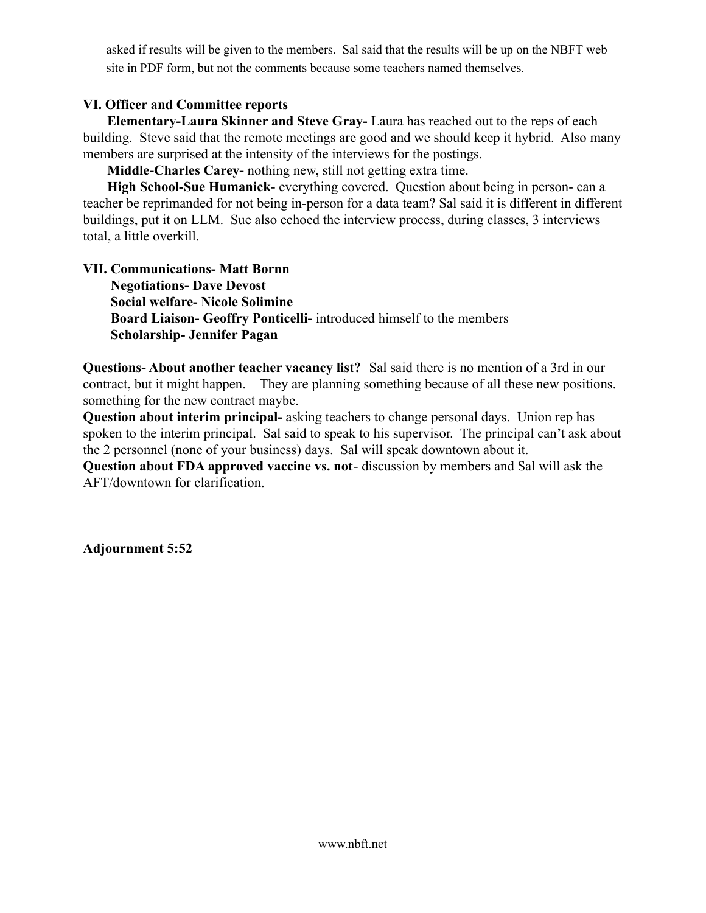asked if results will be given to the members. Sal said that the results will be up on the NBFT web site in PDF form, but not the comments because some teachers named themselves.

#### **VI. Officer and Committee reports**

**Elementary-Laura Skinner and Steve Gray-** Laura has reached out to the reps of each building. Steve said that the remote meetings are good and we should keep it hybrid. Also many members are surprised at the intensity of the interviews for the postings.

**Middle-Charles Carey-** nothing new, still not getting extra time.

**High School-Sue Humanick**- everything covered. Question about being in person- can a teacher be reprimanded for not being in-person for a data team? Sal said it is different in different buildings, put it on LLM. Sue also echoed the interview process, during classes, 3 interviews total, a little overkill.

#### **VII. Communications- Matt Bornn**

**Negotiations- Dave Devost Social welfare- Nicole Solimine Board Liaison- Geoffry Ponticelli-** introduced himself to the members **Scholarship- Jennifer Pagan**

**Questions- About another teacher vacancy list?** Sal said there is no mention of a 3rd in our contract, but it might happen. They are planning something because of all these new positions. something for the new contract maybe.

**Question about interim principal-** asking teachers to change personal days. Union rep has spoken to the interim principal. Sal said to speak to his supervisor. The principal can't ask about the 2 personnel (none of your business) days. Sal will speak downtown about it.

**Question about FDA approved vaccine vs. not**- discussion by members and Sal will ask the AFT/downtown for clarification.

**Adjournment 5:52**